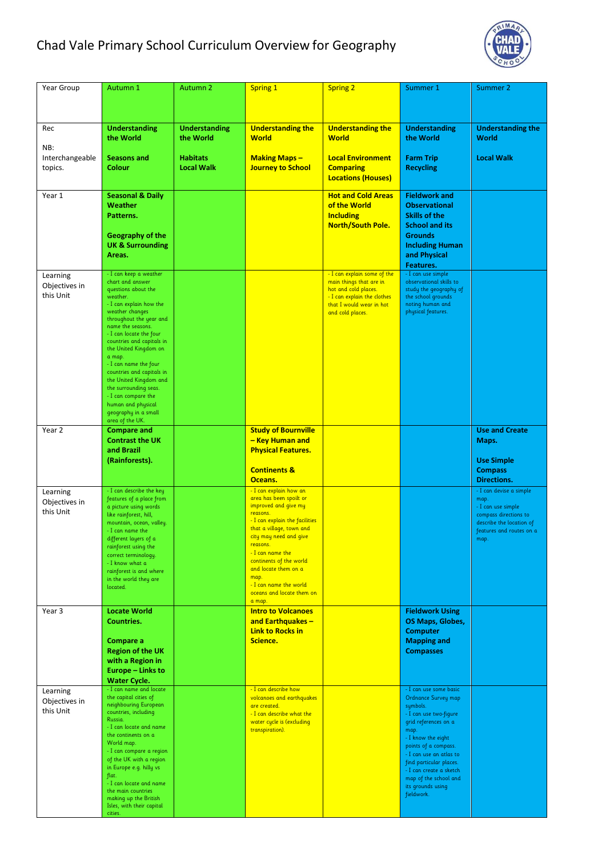## Chad Vale Primary School Curriculum Overview for Geography



| Year Group                             | Autumn 1                                                                                                                                                                                                                                                                                                                                                                                                                                                                | <b>Autumn 2</b>                      | Spring 1                                                                                                                                                                                                                                                                                                                                  | <b>Spring 2</b>                                                                                                                                               | Summer 1                                                                                                                                                                                                                                                                                                       | Summer 2                                                                                                                                       |
|----------------------------------------|-------------------------------------------------------------------------------------------------------------------------------------------------------------------------------------------------------------------------------------------------------------------------------------------------------------------------------------------------------------------------------------------------------------------------------------------------------------------------|--------------------------------------|-------------------------------------------------------------------------------------------------------------------------------------------------------------------------------------------------------------------------------------------------------------------------------------------------------------------------------------------|---------------------------------------------------------------------------------------------------------------------------------------------------------------|----------------------------------------------------------------------------------------------------------------------------------------------------------------------------------------------------------------------------------------------------------------------------------------------------------------|------------------------------------------------------------------------------------------------------------------------------------------------|
|                                        |                                                                                                                                                                                                                                                                                                                                                                                                                                                                         |                                      |                                                                                                                                                                                                                                                                                                                                           |                                                                                                                                                               |                                                                                                                                                                                                                                                                                                                |                                                                                                                                                |
| Rec                                    | <b>Understanding</b><br>the World                                                                                                                                                                                                                                                                                                                                                                                                                                       | <b>Understanding</b><br>the World    | <b>Understanding the</b><br><b>World</b>                                                                                                                                                                                                                                                                                                  | <b>Understanding the</b><br><b>World</b>                                                                                                                      | <b>Understanding</b><br>the World                                                                                                                                                                                                                                                                              | <b>Understanding the</b><br>World                                                                                                              |
| NB:<br>Interchangeable<br>topics.      | <b>Seasons and</b><br><b>Colour</b>                                                                                                                                                                                                                                                                                                                                                                                                                                     | <b>Habitats</b><br><b>Local Walk</b> | <b>Making Maps-</b><br><b>Journey to School</b>                                                                                                                                                                                                                                                                                           | <b>Local Environment</b><br><b>Comparing</b>                                                                                                                  | <b>Farm Trip</b><br><b>Recycling</b>                                                                                                                                                                                                                                                                           | <b>Local Walk</b>                                                                                                                              |
|                                        |                                                                                                                                                                                                                                                                                                                                                                                                                                                                         |                                      |                                                                                                                                                                                                                                                                                                                                           | <b>Locations (Houses)</b>                                                                                                                                     |                                                                                                                                                                                                                                                                                                                |                                                                                                                                                |
| Year 1                                 | <b>Seasonal &amp; Daily</b><br>Weather<br>Patterns.<br>Geography of the<br><b>UK &amp; Surrounding</b>                                                                                                                                                                                                                                                                                                                                                                  |                                      |                                                                                                                                                                                                                                                                                                                                           | <b>Hot and Cold Areas</b><br>of the World<br><b>Including</b><br><b>North/South Pole.</b>                                                                     | <b>Fieldwork and</b><br><b>Observational</b><br><b>Skills of the</b><br><b>School and its</b><br><b>Grounds</b><br><b>Including Human</b>                                                                                                                                                                      |                                                                                                                                                |
|                                        | Areas.                                                                                                                                                                                                                                                                                                                                                                                                                                                                  |                                      |                                                                                                                                                                                                                                                                                                                                           |                                                                                                                                                               | and Physical<br>Features.                                                                                                                                                                                                                                                                                      |                                                                                                                                                |
| Learning<br>Objectives in<br>this Unit | - I can keep a weather<br>chart and answer<br>questions about the<br>weather.<br>- I can explain how the<br>weather changes<br>throughout the year and<br>name the seasons.<br>- I can locate the four<br>countries and capitals in<br>the United Kingdom on<br>a map.<br>- I can name the four<br>countries and capitals in<br>the United Kingdom and<br>the surrounding seas.<br>- I can compare the<br>human and physical<br>geography in a small<br>area of the UK. |                                      |                                                                                                                                                                                                                                                                                                                                           | - I can explain some of the<br>main things that are in<br>hot and cold places.<br>- I can explain the clothes<br>that I would wear in hot<br>and cold places. | - I can use simple<br>observational skills to<br>study the geography of<br>the school grounds<br>noting human and<br>physical features.                                                                                                                                                                        |                                                                                                                                                |
| Year 2                                 | <b>Compare and</b><br><b>Contrast the UK</b><br>and Brazil                                                                                                                                                                                                                                                                                                                                                                                                              |                                      | <b>Study of Bournville</b><br>- Key Human and<br><b>Physical Features.</b>                                                                                                                                                                                                                                                                |                                                                                                                                                               |                                                                                                                                                                                                                                                                                                                | <b>Use and Create</b><br>Maps.                                                                                                                 |
|                                        | (Rainforests).                                                                                                                                                                                                                                                                                                                                                                                                                                                          |                                      | <b>Continents &amp;</b><br>Oceans.                                                                                                                                                                                                                                                                                                        |                                                                                                                                                               |                                                                                                                                                                                                                                                                                                                | <b>Use Simple</b><br><b>Compass</b><br><b>Directions.</b>                                                                                      |
| Learning<br>Objectives in<br>this Unit | - I can describe the key<br>features of a place from<br>a picture using words<br>like rainforest, hill,<br>mountain, ocean, valley.<br>- I can name the<br>different layers of a<br>rainforest using the<br>correct terminology.<br>- I know what a<br>rainforest is and where<br>in the world they are<br>located.                                                                                                                                                     |                                      | - I can explain how an<br>area has been spoilt or<br>improved and give my<br>reasons.<br>- I can explain the facilities<br>that a village, town and<br>city may need and give<br>reasons.<br>- I can name the<br>continents of the world<br>and locate them on a<br>map.<br>- I can name the world<br>oceans and locate them on<br>a map. |                                                                                                                                                               |                                                                                                                                                                                                                                                                                                                | - I can devise a simple<br>map.<br>- I can use simple<br>compass directions to<br>describe the location of<br>features and routes on a<br>map. |
| Year 3                                 | <b>Locate World</b><br>Countries.                                                                                                                                                                                                                                                                                                                                                                                                                                       |                                      | <b>Intro to Volcanoes</b><br>and Earthquakes-<br><b>Link to Rocks in</b>                                                                                                                                                                                                                                                                  |                                                                                                                                                               | <b>Fieldwork Using</b><br>OS Maps, Globes,<br><b>Computer</b>                                                                                                                                                                                                                                                  |                                                                                                                                                |
|                                        | Compare a<br><b>Region of the UK</b><br>with a Region in<br>Europe – Links to<br><b>Water Cycle.</b>                                                                                                                                                                                                                                                                                                                                                                    |                                      | Science.                                                                                                                                                                                                                                                                                                                                  |                                                                                                                                                               | <b>Mapping and</b><br><b>Compasses</b>                                                                                                                                                                                                                                                                         |                                                                                                                                                |
| Learning<br>Objectives in<br>this Unit | - I can name and locate<br>the capital cities of<br>neighbouring European<br>countries, including<br>Russia.<br>- I can locate and name<br>the continents on a<br>World map.<br>- I can compare a region<br>of the UK with a region<br>in Europe e.g. hilly vs<br>flat.<br>- I can locate and name<br>the main countries<br>making up the British<br>Isles, with their capital<br>cities.                                                                               |                                      | - I can describe how<br>volcanoes and earthquakes<br>are created.<br>- I can describe what the<br>water cycle is (excluding<br>transpiration).                                                                                                                                                                                            |                                                                                                                                                               | - I can use some basic<br>Ordnance Survey map<br>symbols.<br>- I can use two-figure<br>grid references on a<br>map.<br>- I know the eight<br>points of a compass.<br>- I can use an atlas to<br>find particular places.<br>- I can create a sketch<br>map of the school and<br>its grounds using<br>fieldwork. |                                                                                                                                                |